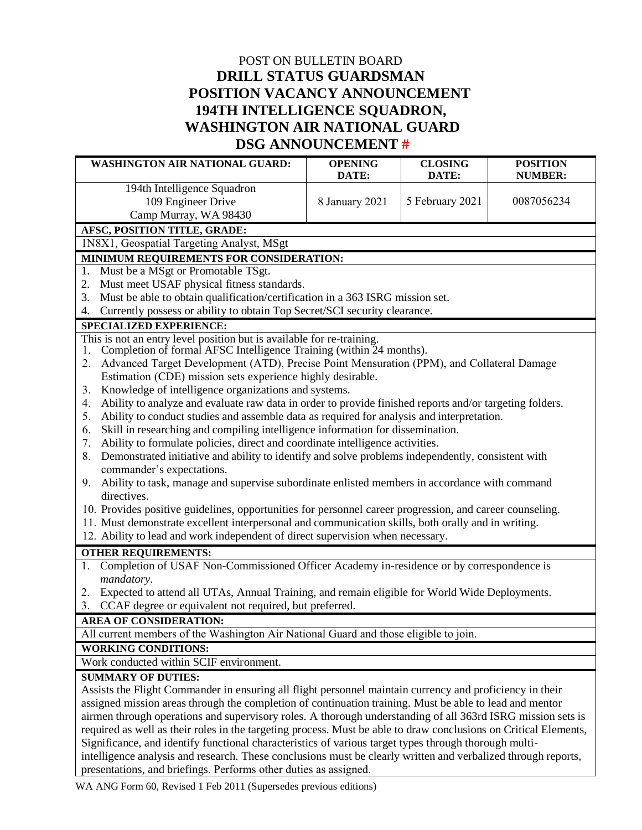## POST ON BULLETIN BOARD **DRILL STATUS GUARDSMAN POSITION VACANCY ANNOUNCEMENT 194TH INTELLIGENCE SQUADRON, WASHINGTON AIR NATIONAL GUARD DSG ANNOUNCEMENT #21-15**

| UARD DOU ANNOUNCEMENT #21-13                                                                                                                                                                                                                                                                                                                                                                                                                                                                                                                                                                                                                                |                         |                         |                                   |
|-------------------------------------------------------------------------------------------------------------------------------------------------------------------------------------------------------------------------------------------------------------------------------------------------------------------------------------------------------------------------------------------------------------------------------------------------------------------------------------------------------------------------------------------------------------------------------------------------------------------------------------------------------------|-------------------------|-------------------------|-----------------------------------|
| <b>WASHINGTON AIR NATIONAL GUARD:</b>                                                                                                                                                                                                                                                                                                                                                                                                                                                                                                                                                                                                                       | <b>OPENING</b><br>DATE: | <b>CLOSING</b><br>DATE: | <b>POSITION</b><br><b>NUMBER:</b> |
| 194th Intelligence Squadron                                                                                                                                                                                                                                                                                                                                                                                                                                                                                                                                                                                                                                 |                         |                         | <b>Multiple Positions</b>         |
| 109 Engineer Drive                                                                                                                                                                                                                                                                                                                                                                                                                                                                                                                                                                                                                                          | 16 MARCH 2021           | <b>UNTIL FILLED</b>     | Available                         |
| Camp Murray, WA 98430                                                                                                                                                                                                                                                                                                                                                                                                                                                                                                                                                                                                                                       |                         |                         |                                   |
| AFSC, POSITION TITLE, GRADE:                                                                                                                                                                                                                                                                                                                                                                                                                                                                                                                                                                                                                                |                         |                         |                                   |
| 1N8X1, Geospatial Targeting Analyst, AB (E-1) - SSgt (E-5)                                                                                                                                                                                                                                                                                                                                                                                                                                                                                                                                                                                                  |                         |                         |                                   |
| MINIMUM REQUIREMENTS FOR CONSIDERATION:<br>Must possess, be eligible to obtain or retrain, as a 1N8X1 AFSC and meet World Wide deployment<br>1.<br>requirements.<br>Must meet USAF physical fitness standards.<br>2.<br>Currently possess or ability to obtain TOP SECRET/SCI security clearance.<br>3.                                                                                                                                                                                                                                                                                                                                                     |                         |                         |                                   |
| <b>SPECIALIZED EXPERIENCE:</b>                                                                                                                                                                                                                                                                                                                                                                                                                                                                                                                                                                                                                              |                         |                         |                                   |
| This is an entry level position.                                                                                                                                                                                                                                                                                                                                                                                                                                                                                                                                                                                                                            |                         |                         |                                   |
| <b>OTHER REQUIREMENTS:</b>                                                                                                                                                                                                                                                                                                                                                                                                                                                                                                                                                                                                                                  |                         |                         |                                   |
| Expected to attend all Regularly Scheduled Drills, Annual Training, and remain eligible for World Wide<br>Deployments.                                                                                                                                                                                                                                                                                                                                                                                                                                                                                                                                      |                         |                         |                                   |
| <b>AREA OF CONSIDERATION:</b>                                                                                                                                                                                                                                                                                                                                                                                                                                                                                                                                                                                                                               |                         |                         |                                   |
| All current members of the Washington Air National Guard and all those eligible to enlist.                                                                                                                                                                                                                                                                                                                                                                                                                                                                                                                                                                  |                         |                         |                                   |
| <b>WORKING CONDITIONS:</b>                                                                                                                                                                                                                                                                                                                                                                                                                                                                                                                                                                                                                                  |                         |                         |                                   |
| Work conducted within a Sensitive Compartmented Information Facility (SCIF) environment.                                                                                                                                                                                                                                                                                                                                                                                                                                                                                                                                                                    |                         |                         |                                   |
| <b>SUMMARY OF DUTIES:</b><br>Performs targeting intelligence activities and functions including target analysis, weapons selection and<br>collateral damage estimation. Analyzes terrain features and structures to make precise strike<br>recommendations and battle damage assessments. Also performs target coordinate mensuration,<br>weaponeering and in-depth target development with satellite imagery. In addition, develops targeting<br>solutions and evaluates effects in support of planning and execution of kinetic operations. Works to achieve<br>commander's intent and other intelligence community priorities. Other duties as assigned. |                         |                         |                                   |
| <b>INFORMATION</b>                                                                                                                                                                                                                                                                                                                                                                                                                                                                                                                                                                                                                                          |                         |                         |                                   |
| (Do Not Make Changes to This Section)                                                                                                                                                                                                                                                                                                                                                                                                                                                                                                                                                                                                                       |                         |                         |                                   |
| If selectee is an AGR, assumption of position cannot be made until the Manning Change Request (MCR)<br>1.<br>has been approved by NGB.                                                                                                                                                                                                                                                                                                                                                                                                                                                                                                                      |                         |                         |                                   |

- 2. If this is a promotion announcement, but a change is required to the manning document the promotion package may not be submitted until the Manning Change Request (MCR) has been approved by NGB.
- 3. The unit POC for this announcement must submit a completed DSG Selection Package to the FSF/FSS certifying validity of the interview and selection process.